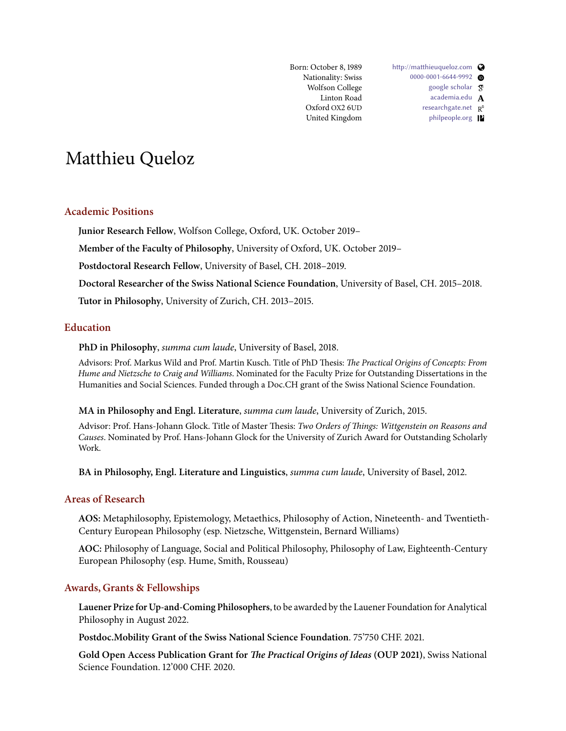Born: October 8, 1989 Nationality: Swiss Wolfson College Linton Road Oxford OX2 6UD United Kingdom [http://matthieuqueloz.com](https://matthieuqueloz.com) [0000-0001-6644-9992](https://orcid.org/0000-0001-6644-9992) [google scholar](https://scholar.google.ch/citations?user=uHg8FJAAAAAJ&hl=en&oi=ao)  $\,$   $\overline{\mathrm{g}}$ [academia.edu](https://oxford.academia.edu/MatthieuQueloz)  $\, {\bf A} \,$ [researchgate.net](https://www.researchgate.net/profile/Matthieu_Queloz) R<sup>6</sup> [philpeople.org](https://philpeople.org/profiles/matthieu-queloz)<sup>1</sup>

# Matthieu Queloz

### **Academic Positions**

**Junior Research Fellow**, Wolfson College, Oxford, UK. October 2019–

**Member of the Faculty of Philosophy**, University of Oxford, UK. October 2019–

**Postdoctoral Research Fellow**, University of Basel, CH. 2018–2019.

**Doctoral Researcher of the Swiss National Science Foundation**, University of Basel, CH. 2015–2018.

**Tutor in Philosophy**, University of Zurich, CH. 2013–2015.

## **Education**

**PhD in Philosophy**, summa cum laude, University of Basel, 2018.

Advisors: Prof. Markus Wild and Prof. Martin Kusch. Title of PhD Thesis: The Practical Origins of Concepts: From Hume and Nietzsche to Craig and Williams. Nominated for the Faculty Prize for Outstanding Dissertations in the Humanities and Social Sciences. Funded through a Doc.CH grant of the Swiss National Science Foundation.

**MA in Philosophy and Engl. Literature**, summa cum laude, University of Zurich, 2015.

Advisor: Prof. Hans-Johann Glock. Title of Master Thesis: Two Orders of Things: Wittgenstein on Reasons and Causes. Nominated by Prof. Hans-Johann Glock for the University of Zurich Award for Outstanding Scholarly Work.

**BA in Philosophy, Engl. Literature and Linguistics**, summa cum laude, University of Basel, 2012.

## **Areas of Research**

**AOS:** Metaphilosophy, Epistemology, Metaethics, Philosophy of Action, Nineteenth- and Twentieth-Century European Philosophy (esp. Nietzsche, Wittgenstein, Bernard Williams)

**AOC:** Philosophy of Language, Social and Political Philosophy, Philosophy of Law, Eighteenth-Century European Philosophy (esp. Hume, Smith, Rousseau)

#### **Awards, Grants & Fellowships**

**Lauener Prize for Up-and-Coming Philosophers**, to be awarded by the Lauener Foundation for Analytical Philosophy in August 2022.

**Postdoc.Mobility Grant of the Swiss National Science Foundation**. 75'750 CHF. 2021.

**Gold Open Access Publication Grant for The Practical Origins of Ideas (OUP 2021)**, Swiss National Science Foundation. 12'000 CHF. 2020.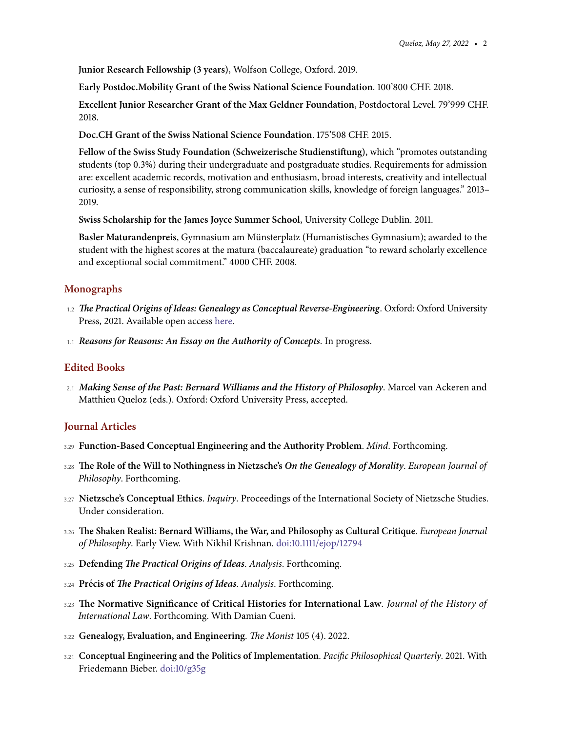**Junior Research Fellowship (3 years)**, Wolfson College, Oxford. 2019.

**Early Postdoc.Mobility Grant of the Swiss National Science Foundation**. 100'800 CHF. 2018.

**Excellent Junior Researcher Grant of the Max Geldner Foundation**, Postdoctoral Level. 79'999 CHF. 2018.

**Doc.CH Grant of the Swiss National Science Foundation**. 175'508 CHF. 2015.

**Fellow of the Swiss Study Foundation (Schweizerische Studienstiftung)**, which "promotes outstanding students (top 0.3%) during their undergraduate and postgraduate studies. Requirements for admission are: excellent academic records, motivation and enthusiasm, broad interests, creativity and intellectual curiosity, a sense of responsibility, strong communication skills, knowledge of foreign languages." 2013– 2019.

**Swiss Scholarship for the James Joyce Summer School**, University College Dublin. 2011.

**Basler Maturandenpreis**, Gymnasium am Munsterplatz (Humanistisches Gymnasium); awarded to the ¨ student with the highest scores at the matura (baccalaureate) graduation "to reward scholarly excellence and exceptional social commitment." 4000 CHF. 2008.

### **Monographs**

- 1.2 **The Practical Origins of Ideas: Genealogy as Conceptual Reverse-Engineering**. Oxford: Oxford University Press, 2021. Available open access [here.](https://global.oup.com/academic/product/the-practical-origins-of-ideas-9780198868705?cc=ch&lang=en)
- 1.1 **Reasons for Reasons: An Essay on the Authority of Concepts**. In progress.

#### **Edited Books**

2.1 **Making Sense of the Past: Bernard Williams and the History of Philosophy**. Marcel van Ackeren and Matthieu Queloz (eds.). Oxford: Oxford University Press, accepted.

#### **Journal Articles**

- 3.29 **Function-Based Conceptual Engineering and the Authority Problem**. Mind. Forthcoming.
- 3.28 **The Role of the Will to Nothingness in Nietzsche's On the Genealogy of Morality**. European Journal of Philosophy. Forthcoming.
- 3.27 **Nietzsche's Conceptual Ethics**. Inquiry. Proceedings of the International Society of Nietzsche Studies. Under consideration.
- 3.26 **The Shaken Realist: Bernard Williams, the War, and Philosophy as Cultural Critique**. European Journal of Philosophy. Early View. With Nikhil Krishnan. [doi:10.1111/ejop/12794](http://doi.org/10.1111/ejop/12794)
- 3.25 **Defending The Practical Origins of Ideas**. Analysis. Forthcoming.
- 3.24 **Precis of ´ The Practical Origins of Ideas**. Analysis. Forthcoming.
- 3.23 **The Normative Significance of Critical Histories for International Law**. Journal of the History of International Law. Forthcoming. With Damian Cueni.
- 3.22 **Genealogy, Evaluation, and Engineering**. The Monist 105 (4). 2022.
- 3.21 **Conceptual Engineering and the Politics of Implementation**. Pacific Philosophical Quarterly. 2021. With Friedemann Bieber. [doi:10/g35g](http://doi.org/10.1111/papq.12394)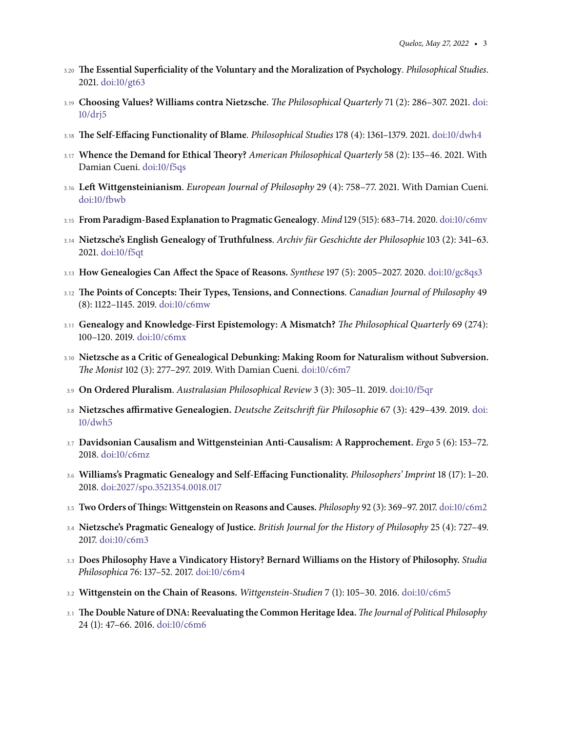- 3.20 **The Essential Superficiality of the Voluntary and the Moralization of Psychology**. Philosophical Studies. 2021. [doi:10/gt63](http://doi.org/10.1007/s11098-021-01720-2)
- 3.19 **Choosing Values? Williams contra Nietzsche**. The Philosophical Quarterly 71 (2): 286–307. 2021. [doi:](http://doi.org/drj5) [10/drj5](http://doi.org/drj5)
- 3.18 **The Self-Effacing Functionality of Blame**. Philosophical Studies 178 (4): 1361–1379. 2021. [doi:10/dwh4](http://doi.org/dwh4)
- 3.17 **Whence the Demand for Ethical Theory?** American Philosophical Quarterly 58 (2): 135–46. 2021. With Damian Cueni. [doi:10/f5qs](https://doi.org/10.2307/48614001)
- 3.16 **Left Wittgensteinianism**. European Journal of Philosophy 29 (4): 758–77. 2021. With Damian Cueni. [doi:10/fbwb](http://doi.org/10.1111/ejop.12603)
- 3.15 **From Paradigm-Based Explanation to Pragmatic Genealogy**. Mind 129 (515): 683–714. 2020. [doi:10/c6mv](https://academic.oup.com/mind/advance-article/doi/10.1093/mind/fzy083/5359485?guestAccessKey=08e131ee-310a-44da-b48c-2b7fcdc5fb6f)
- 3.14 Nietzsche's English Genealogy of Truthfulness. Archiv für Geschichte der Philosophie 103 (2): 341–63. 2021. [doi:10/f5qt](https://doi.org/10.1515/agph-2018-0048)
- 3.13 **How Genealogies Can Affect the Space of Reasons.** Synthese 197 (5): 2005–2027. 2020. [doi:10/gc8qs3](https://doi.org/10.1007/s11229-018-1777-9)
- 3.12 **The Points of Concepts: Their Types, Tensions, and Connections**. Canadian Journal of Philosophy 49 (8): 1122–1145. 2019. [doi:10/c6mw](https://doi.org/10.1080/00455091.2019.1584940)
- 3.11 **Genealogy and Knowledge-First Epistemology: A Mismatch?** The Philosophical Quarterly 69 (274): 100–120. 2019. [doi:10/c6mx](https://doi.org/10.1093/pq/pqy041)
- 3.10 **Nietzsche as a Critic of Genealogical Debunking: Making Room for Naturalism without Subversion.** The Monist 102 (3): 277–297. 2019. With Damian Cueni. [doi:10/c6m7](https://academic.oup.com/monist/article/102/3/277/5499216?guestAccessKey=48ffd71d-0574-49ae-9a5b-b6ab937d60b8)
- 3.9 **On Ordered Pluralism**. Australasian Philosophical Review 3 (3): 305–11. 2019. [doi:10/f5qr](https://doi.org/10.1080/24740500.2020.1859234)
- 3.8 Nietzsches affirmative Genealogien. Deutsche Zeitschrift für Philosophie 67 (3): 429-439. 2019. [doi:](https://doi.org/dwh5) [10/dwh5](https://doi.org/dwh5)
- 3.7 **Davidsonian Causalism and Wittgensteinian Anti-Causalism: A Rapprochement.** Ergo 5 (6): 153–72. 2018. [doi:10/c6mz](https://doi.org/10.3998/ergo.12405314.0005.006)
- 3.6 **Williams's Pragmatic Genealogy and Self-Effacing Functionality.** Philosophers' Imprint 18 (17): 1–20. 2018. [doi:2027/spo.3521354.0018.017](https://doi.org/2027/spo.3521354.0018.017)
- 3.5 **Two Orders ofThings: Wittgenstein on Reasons and Causes.** Philosophy 92 (3): 369–97. 2017. [doi:10/c6m2](https://doi.org/10.1017/S0031819117000055)
- 3.4 **Nietzsche's Pragmatic Genealogy of Justice.** British Journal for the History of Philosophy 25 (4): 727–49. 2017. [doi:10/c6m3](https://doi.org/10.1080/09608788.2016.1266462)
- 3.3 **Does Philosophy Have a Vindicatory History? Bernard Williams on the History of Philosophy.** Studia Philosophica 76: 137–52. 2017. [doi:10/c6m4](https://doi.org/10.24894/StPh-en.2017.76008)
- 3.2 **Wittgenstein on the Chain of Reasons.** Wittgenstein-Studien 7 (1): 105–30. 2016. [doi:10/c6m5](https://doi.org/10.1515/witt-2016-0108)
- 3.1 **The Double Nature of DNA: Reevaluating the Common Heritage Idea.** The Journal of Political Philosophy 24 (1): 47–66. 2016. [doi:10/c6m6](https://doi.org/10.1111/jopp.12063)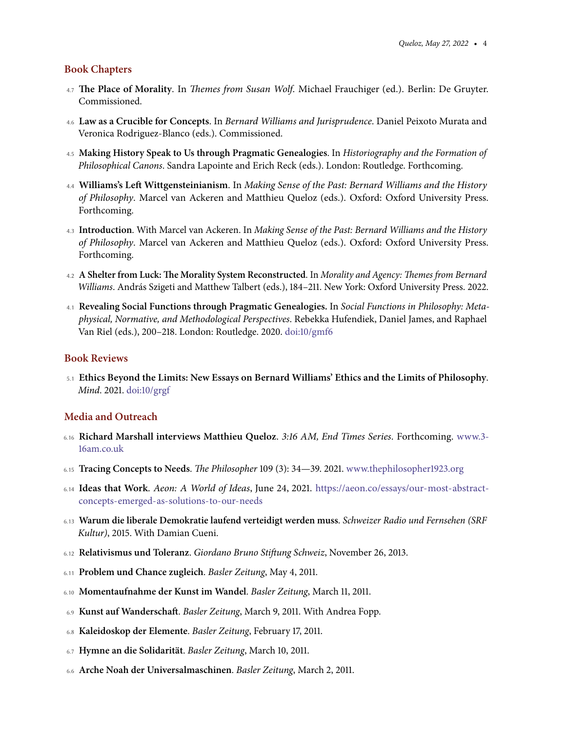## **Book Chapters**

- 4.7 **The Place of Morality**. In Themes from Susan Wolf. Michael Frauchiger (ed.). Berlin: De Gruyter. Commissioned.
- 4.6 **Law as a Crucible for Concepts**. In Bernard Williams and Jurisprudence. Daniel Peixoto Murata and Veronica Rodriguez-Blanco (eds.). Commissioned.
- 4.5 **Making History Speak to Us through Pragmatic Genealogies**. In Historiography and the Formation of Philosophical Canons. Sandra Lapointe and Erich Reck (eds.). London: Routledge. Forthcoming.
- 4.4 **Williams's Left Wittgensteinianism**. In Making Sense of the Past: Bernard Williams and the History of Philosophy. Marcel van Ackeren and Matthieu Queloz (eds.). Oxford: Oxford University Press. Forthcoming.
- 4.3 **Introduction**. With Marcel van Ackeren. In Making Sense of the Past: Bernard Williams and the History of Philosophy. Marcel van Ackeren and Matthieu Queloz (eds.). Oxford: Oxford University Press. Forthcoming.
- 4.2 **A Shelter from Luck: The Morality System Reconstructed**. In Morality and Agency: Themes from Bernard Williams. András Szigeti and Matthew Talbert (eds.), 184–211. New York: Oxford University Press. 2022.
- 4.1 **Revealing Social Functions through Pragmatic Genealogies.** In Social Functions in Philosophy: Metaphysical, Normative, and Methodological Perspectives. Rebekka Hufendiek, Daniel James, and Raphael Van Riel (eds.), 200–218. London: Routledge. 2020. [doi:10/gmf6](https://doi.org/10/gmf6)

## **Book Reviews**

5.1 **Ethics Beyond the Limits: New Essays on Bernard Williams' Ethics and the Limits of Philosophy**. Mind. 2021. [doi:10/grgf](https://academic.oup.com/mind/advance-article/doi/10.1093/mind/fzaa077/6352246?guestAccessKey=ef121149-ba54-4095-ab50-584b219f6f01)

## **Media and Outreach**

- 6.16 **Richard Marshall interviews Matthieu Queloz**. 3:16 AM, End Times Series. Forthcoming. [www.3-](https://www.3-16am.co.uk/articles/.c/end-times-series ) [16am.co.uk](https://www.3-16am.co.uk/articles/.c/end-times-series )
- 6.15 **Tracing Concepts to Needs**. The Philosopher 109 (3): 34—39. 2021. [www.thephilosopher1923.org](https://www.thephilosopher1923.org)
- 6.14 **Ideas that Work**. Aeon: A World of Ideas, June 24, 2021. [https://aeon.co/essays/our-most-abstract](https://aeon.co/essays/our-most-abstract-concepts-emerged-as-solutions-to-our-needs)[concepts-emerged-as-solutions-to-our-needs](https://aeon.co/essays/our-most-abstract-concepts-emerged-as-solutions-to-our-needs)
- 6.13 **Warum die liberale Demokratie laufend verteidigt werden muss**. Schweizer Radio und Fernsehen (SRF Kultur), 2015. With Damian Cueni.
- 6.12 **Relativismus und Toleranz**. Giordano Bruno Stiftung Schweiz, November 26, 2013.
- 6.11 **Problem und Chance zugleich**. Basler Zeitung, May 4, 2011.
- 6.10 **Momentaufnahme der Kunst im Wandel**. Basler Zeitung, March 11, 2011.
- 6.9 **Kunst auf Wanderschaft**. Basler Zeitung, March 9, 2011. With Andrea Fopp.
- 6.8 **Kaleidoskop der Elemente**. Basler Zeitung, February 17, 2011.
- 6.7 **Hymne an die Solidaritat ¨** . Basler Zeitung, March 10, 2011.
- 6.6 **Arche Noah der Universalmaschinen**. Basler Zeitung, March 2, 2011.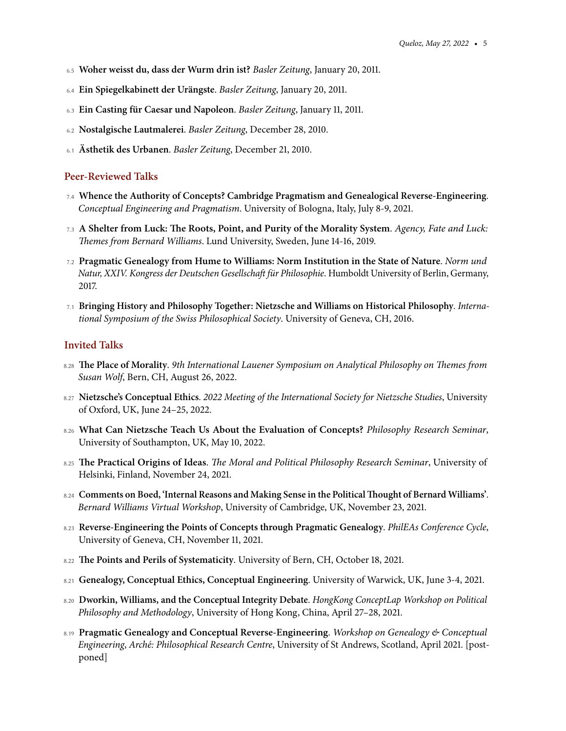- 6.5 **Woher weisst du, dass der Wurm drin ist?** Basler Zeitung, January 20, 2011.
- 6.4 **Ein Spiegelkabinett der Urangste ¨** . Basler Zeitung, January 20, 2011.
- 6.3 **Ein Casting fur Caesar und Napoleon ¨** . Basler Zeitung, January 11, 2011.
- 6.2 **Nostalgische Lautmalerei**. Basler Zeitung, December 28, 2010.
- 6.1 **Asthetik des Urbanen ¨** . Basler Zeitung, December 21, 2010.

#### **Peer-Reviewed Talks**

- 7.4 **Whence the Authority of Concepts? Cambridge Pragmatism and Genealogical Reverse-Engineering**. Conceptual Engineering and Pragmatism. University of Bologna, Italy, July 8-9, 2021.
- 7.3 **A Shelter from Luck: The Roots, Point, and Purity of the Morality System**. Agency, Fate and Luck: Themes from Bernard Williams. Lund University, Sweden, June 14-16, 2019.
- 7.2 **Pragmatic Genealogy from Hume to Williams: Norm Institution in the State of Nature**. Norm und Natur, XXIV. Kongress der Deutschen Gesellschaft für Philosophie. Humboldt University of Berlin, Germany, 2017.
- 7.1 **Bringing History and Philosophy Together: Nietzsche and Williams on Historical Philosophy**. International Symposium of the Swiss Philosophical Society. University of Geneva, CH, 2016.

### **Invited Talks**

- 8.28 **The Place of Morality**. 9th International Lauener Symposium on Analytical Philosophy on Themes from Susan Wolf, Bern, CH, August 26, 2022.
- 8.27 **Nietzsche's Conceptual Ethics**. 2022 Meeting of the International Society for Nietzsche Studies, University of Oxford, UK, June 24–25, 2022.
- 8.26 **What Can Nietzsche Teach Us About the Evaluation of Concepts?** Philosophy Research Seminar, University of Southampton, UK, May 10, 2022.
- 8.25 **The Practical Origins of Ideas**. The Moral and Political Philosophy Research Seminar, University of Helsinki, Finland, November 24, 2021.
- 8.24 **Comments on Boed, 'Internal Reasons and Making Sense in the PoliticalThought of Bernard Williams'**. Bernard Williams Virtual Workshop, University of Cambridge, UK, November 23, 2021.
- 8.23 **Reverse-Engineering the Points of Concepts through Pragmatic Genealogy**. PhilEAs Conference Cycle, University of Geneva, CH, November 11, 2021.
- 8.22 **The Points and Perils of Systematicity**. University of Bern, CH, October 18, 2021.
- 8.21 **Genealogy, Conceptual Ethics, Conceptual Engineering**. University of Warwick, UK, June 3-4, 2021.
- 8.20 **Dworkin, Williams, and the Conceptual Integrity Debate**. HongKong ConceptLap Workshop on Political Philosophy and Methodology, University of Hong Kong, China, April 27–28, 2021.
- 8.19 **Pragmatic Genealogy and Conceptual Reverse-Engineering**. Workshop on Genealogy & Conceptual Engineering, Arché: Philosophical Research Centre, University of St Andrews, Scotland, April 2021. [postponed]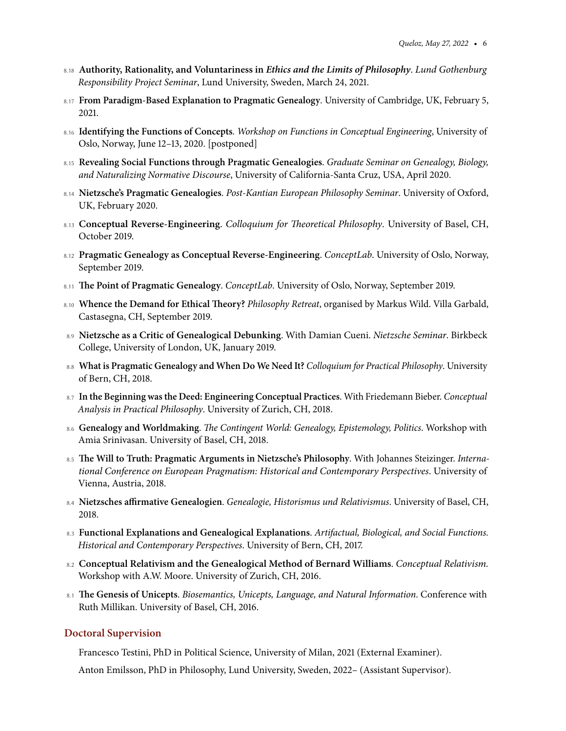- 8.18 **Authority, Rationality, and Voluntariness in Ethics and the Limits of Philosophy**. Lund Gothenburg Responsibility Project Seminar, Lund University, Sweden, March 24, 2021.
- 8.17 **From Paradigm-Based Explanation to Pragmatic Genealogy**. University of Cambridge, UK, February 5, 2021.
- 8.16 **Identifying the Functions of Concepts**. Workshop on Functions in Conceptual Engineering, University of Oslo, Norway, June 12–13, 2020. [postponed]
- 8.15 **Revealing Social Functions through Pragmatic Genealogies**. Graduate Seminar on Genealogy, Biology, and Naturalizing Normative Discourse, University of California-Santa Cruz, USA, April 2020.
- 8.14 **Nietzsche's Pragmatic Genealogies**. Post-Kantian European Philosophy Seminar. University of Oxford, UK, February 2020.
- 8.13 **Conceptual Reverse-Engineering**. Colloquium for Theoretical Philosophy. University of Basel, CH, October 2019.
- 8.12 **Pragmatic Genealogy as Conceptual Reverse-Engineering**. ConceptLab. University of Oslo, Norway, September 2019.
- 8.11 **The Point of Pragmatic Genealogy**. ConceptLab. University of Oslo, Norway, September 2019.
- 8.10 **Whence the Demand for Ethical Theory?** Philosophy Retreat, organised by Markus Wild. Villa Garbald, Castasegna, CH, September 2019.
- 8.9 **Nietzsche as a Critic of Genealogical Debunking**. With Damian Cueni. Nietzsche Seminar. Birkbeck College, University of London, UK, January 2019.
- 8.8 **What is Pragmatic Genealogy and When Do We Need It?** Colloquium for Practical Philosophy. University of Bern, CH, 2018.
- 8.7 **In the Beginning was the Deed: Engineering Conceptual Practices**. With Friedemann Bieber. Conceptual Analysis in Practical Philosophy. University of Zurich, CH, 2018.
- 8.6 **Genealogy and Worldmaking**. The Contingent World: Genealogy, Epistemology, Politics. Workshop with Amia Srinivasan. University of Basel, CH, 2018.
- 8.5 **The Will to Truth: Pragmatic Arguments in Nietzsche's Philosophy**. With Johannes Steizinger. International Conference on European Pragmatism: Historical and Contemporary Perspectives. University of Vienna, Austria, 2018.
- 8.4 **Nietzsches affirmative Genealogien**. Genealogie, Historismus und Relativismus. University of Basel, CH, 2018.
- 8.3 **Functional Explanations and Genealogical Explanations**. Artifactual, Biological, and Social Functions. Historical and Contemporary Perspectives. University of Bern, CH, 2017.
- 8.2 **Conceptual Relativism and the Genealogical Method of Bernard Williams**. Conceptual Relativism. Workshop with A.W. Moore. University of Zurich, CH, 2016.
- 8.1 **The Genesis of Unicepts**. Biosemantics, Unicepts, Language, and Natural Information. Conference with Ruth Millikan. University of Basel, CH, 2016.

#### **Doctoral Supervision**

Francesco Testini, PhD in Political Science, University of Milan, 2021 (External Examiner).

Anton Emilsson, PhD in Philosophy, Lund University, Sweden, 2022– (Assistant Supervisor).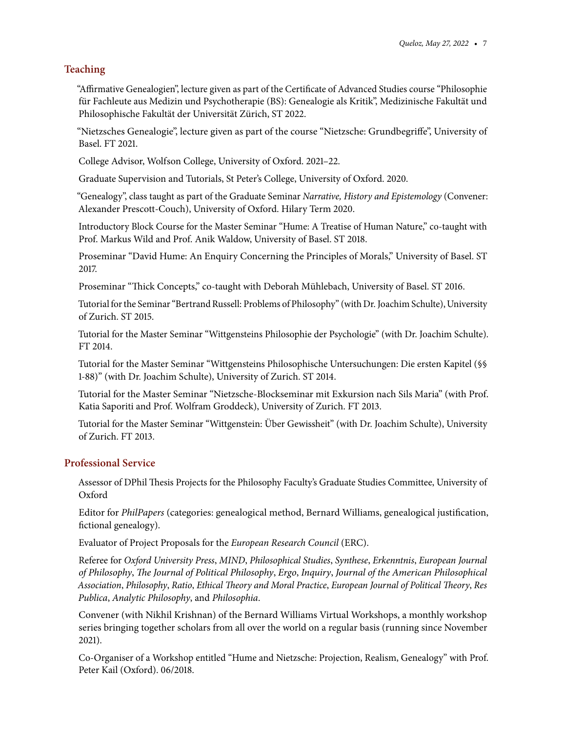# **Teaching**

"Affirmative Genealogien", lecture given as part of the Certificate of Advanced Studies course "Philosophie für Fachleute aus Medizin und Psychotherapie (BS): Genealogie als Kritik", Medizinische Fakultät und Philosophische Fakultät der Universität Zürich, ST 2022.

"Nietzsches Genealogie", lecture given as part of the course "Nietzsche: Grundbegriffe", University of Basel. FT 2021.

College Advisor, Wolfson College, University of Oxford. 2021–22.

Graduate Supervision and Tutorials, St Peter's College, University of Oxford. 2020.

"Genealogy", class taught as part of the Graduate Seminar Narrative, History and Epistemology (Convener: Alexander Prescott-Couch), University of Oxford. Hilary Term 2020.

Introductory Block Course for the Master Seminar "Hume: A Treatise of Human Nature," co-taught with Prof. Markus Wild and Prof. Anik Waldow, University of Basel. ST 2018.

Proseminar "David Hume: An Enquiry Concerning the Principles of Morals," University of Basel. ST 2017.

Proseminar "Thick Concepts," co-taught with Deborah Muhlebach, University of Basel. ST 2016. ¨

Tutorial for the Seminar "Bertrand Russell: Problems of Philosophy" (with Dr. Joachim Schulte), University of Zurich. ST 2015.

Tutorial for the Master Seminar "Wittgensteins Philosophie der Psychologie" (with Dr. Joachim Schulte). FT 2014.

Tutorial for the Master Seminar "Wittgensteins Philosophische Untersuchungen: Die ersten Kapitel (§§ 1-88)" (with Dr. Joachim Schulte), University of Zurich. ST 2014.

Tutorial for the Master Seminar "Nietzsche-Blockseminar mit Exkursion nach Sils Maria" (with Prof. Katia Saporiti and Prof. Wolfram Groddeck), University of Zurich. FT 2013.

Tutorial for the Master Seminar "Wittgenstein: Uber Gewissheit" (with Dr. Joachim Schulte), University ¨ of Zurich. FT 2013.

# **Professional Service**

Assessor of DPhil Thesis Projects for the Philosophy Faculty's Graduate Studies Committee, University of Oxford

Editor for PhilPapers (categories: genealogical method, Bernard Williams, genealogical justification, fictional genealogy).

Evaluator of Project Proposals for the European Research Council (ERC).

Referee for Oxford University Press, MIND, Philosophical Studies, Synthese, Erkenntnis, European Journal of Philosophy, The Journal of Political Philosophy, Ergo, Inquiry, Journal of the American Philosophical Association, Philosophy, Ratio, Ethical Theory and Moral Practice, European Journal of Political Theory, Res Publica, Analytic Philosophy, and Philosophia.

Convener (with Nikhil Krishnan) of the Bernard Williams Virtual Workshops, a monthly workshop series bringing together scholars from all over the world on a regular basis (running since November 2021).

Co-Organiser of a Workshop entitled "Hume and Nietzsche: Projection, Realism, Genealogy" with Prof. Peter Kail (Oxford). 06/2018.